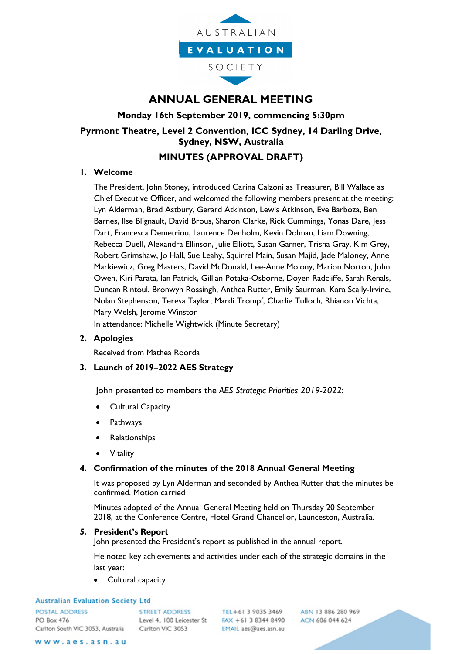

# **ANNUAL GENERAL MEETING**

## **Monday 16th September 2019, commencing 5:30pm**

# **Pyrmont Theatre, Level 2 Convention, ICC Sydney, 14 Darling Drive, Sydney, NSW, Australia**

## **MINUTES (APPROVAL DRAFT)**

### **1. Welcome**

The President, John Stoney, introduced Carina Calzoni as Treasurer, Bill Wallace as Chief Executive Officer, and welcomed the following members present at the meeting: Lyn Alderman, Brad Astbury, Gerard Atkinson, Lewis Atkinson, Eve Barboza, Ben Barnes, Ilse Blignault, David Brous, Sharon Clarke, Rick Cummings, Yonas Dare, Jess Dart, Francesca Demetriou, Laurence Denholm, Kevin Dolman, Liam Downing, Rebecca Duell, Alexandra Ellinson, Julie Elliott, Susan Garner, Trisha Gray, Kim Grey, Robert Grimshaw, Jo Hall, Sue Leahy, Squirrel Main, Susan Majid, Jade Maloney, Anne Markiewicz, Greg Masters, David McDonald, Lee-Anne Molony, Marion Norton, John Owen, Kiri Parata, Ian Patrick, Gillian Potaka-Osborne, Doyen Radcliffe, Sarah Renals, Duncan Rintoul, Bronwyn Rossingh, Anthea Rutter, Emily Saurman, Kara Scally-Irvine, Nolan Stephenson, Teresa Taylor, Mardi Trompf, Charlie Tulloch, Rhianon Vichta, Mary Welsh, Jerome Winston

In attendance: Michelle Wightwick (Minute Secretary)

### **2. Apologies**

Received from Mathea Roorda

### **3. Launch of 2019–2022 AES Strategy**

John presented to members the *AES Strategic Priorities 2019-2022*:

- Cultural Capacity
- Pathways
- **Relationships**
- **Vitality**

### **4. Confirmation of the minutes of the 2018 Annual General Meeting**

It was proposed by Lyn Alderman and seconded by Anthea Rutter that the minutes be confirmed. Motion carried

Minutes adopted of the Annual General Meeting held on Thursday 20 September 2018, at the Conference Centre, Hotel Grand Chancellor, Launceston, Australia.

### *5.* **President's Report**

John presented the President's report as published in the annual report.

He noted key achievements and activities under each of the strategic domains in the last year:

• Cultural capacity

#### **Australian Evaluation Society Ltd**

POSTAL ADDRESS PO Box 476 Carlton South VIC 3053, Australia

**STREET ADDRESS** Carlton VIC 3053

TEL+61 3 9035 3469 Level 4, 100 Leicester St FAX +61 3 8344 8490 EMAIL aes@aes.asn.au

ABN 13 886 280 969 ACN 606 044 624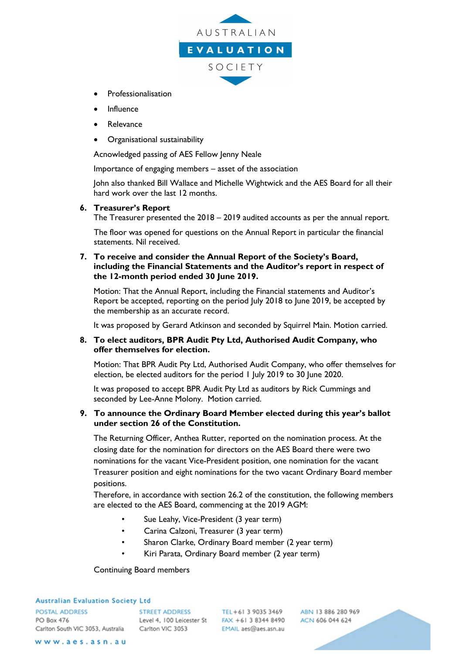

- Professionalisation
- Influence
- **Relevance**
- Organisational sustainability

Acnowledged passing of AES Fellow Jenny Neale

Importance of engaging members – asset of the association

John also thanked Bill Wallace and Michelle Wightwick and the AES Board for all their hard work over the last 12 months.

#### **6. Treasurer's Report**

The Treasurer presented the 2018 – 2019 audited accounts as per the annual report.

The floor was opened for questions on the Annual Report in particular the financial statements. Nil received.

**7. To receive and consider the Annual Report of the Society's Board, including the Financial Statements and the Auditor's report in respect of the 12-month period ended 30 June 2019.**

Motion: That the Annual Report, including the Financial statements and Auditor's Report be accepted, reporting on the period July 2018 to June 2019, be accepted by the membership as an accurate record.

It was proposed by Gerard Atkinson and seconded by Squirrel Main. Motion carried.

#### **8. To elect auditors, BPR Audit Pty Ltd, Authorised Audit Company, who offer themselves for election.**

Motion: That BPR Audit Pty Ltd, Authorised Audit Company, who offer themselves for election, be elected auditors for the period 1 July 2019 to 30 June 2020.

It was proposed to accept BPR Audit Pty Ltd as auditors by Rick Cummings and seconded by Lee-Anne Molony. Motion carried.

### **9. To announce the Ordinary Board Member elected during this year's ballot under section 26 of the Constitution.**

The Returning Officer, Anthea Rutter, reported on the nomination process. At the closing date for the nomination for directors on the AES Board there were two nominations for the vacant Vice-President position, one nomination for the vacant Treasurer position and eight nominations for the two vacant Ordinary Board member positions.

Therefore, in accordance with section 26.2 of the constitution, the following members are elected to the AES Board, commencing at the 2019 AGM:

- Sue Leahy, Vice-President (3 year term)
- Carina Calzoni, Treasurer (3 year term)
- Sharon Clarke, Ordinary Board member (2 year term)
- Kiri Parata, Ordinary Board member (2 year term)

#### Continuing Board members

#### **Australian Evaluation Society Ltd**

POSTAL ADDRESS PO Box 476 Carlton South VIC 3053, Australia Carlton VIC 3053

STREET ADDRESS TEL+61 3 9035 3469 Level 4, 100 Leicester St FAX +61 3 8344 8490

EMAIL aes@aes.asn.au

ABN 13 886 280 969 ACN 606 044 624